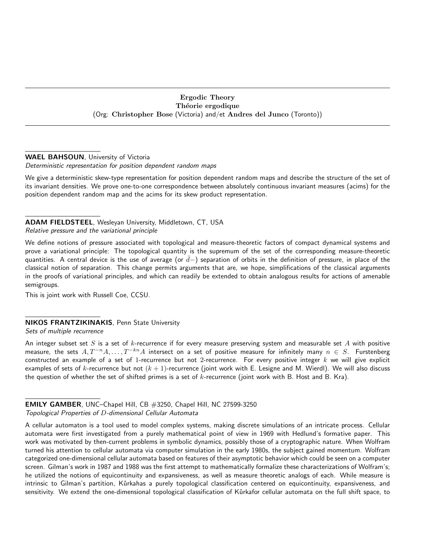# Ergodic Theory Théorie ergodique (Org: Christopher Bose (Victoria) and/et Andres del Junco (Toronto))

# WAEL BAHSOUN, University of Victoria

Deterministic representation for position dependent random maps

We give a deterministic skew-type representation for position dependent random maps and describe the structure of the set of its invariant densities. We prove one-to-one correspondence between absolutely continuous invariant measures (acims) for the position dependent random map and the acims for its skew product representation.

# ADAM FIELDSTEEL, Wesleyan University, Middletown, CT, USA Relative pressure and the variational principle

We define notions of pressure associated with topological and measure-theoretic factors of compact dynamical systems and prove a variational principle: The topological quantity is the supremum of the set of the corresponding measure-theoretic quantities. A central device is the use of average (or  $\bar{d}-$ ) separation of orbits in the definition of pressure, in place of the classical notion of separation. This change permits arguments that are, we hope, simplifications of the classical arguments in the proofs of variational principles, and which can readily be extended to obtain analogous results for actions of amenable semigroups.

This is joint work with Russell Coe, CCSU.

# NIKOS FRANTZIKINAKIS, Penn State University

Sets of multiple recurrence

An integer subset set S is a set of k-recurrence if for every measure preserving system and measurable set A with positive measure, the sets  $A, T^{-n}A, \ldots, T^{-kn}A$  intersect on a set of positive measure for infinitely many  $n \in S$ . Furstenberg constructed an example of a set of 1-recurrence but not 2-recurrence. For every positive integer  $k$  we will give explicit examples of sets of k-recurrence but not  $(k + 1)$ -recurrence (joint work with E. Lesigne and M. Wierdl). We will also discuss the question of whether the set of shifted primes is a set of  $k$ -recurrence (joint work with B. Host and B. Kra).

EMILY GAMBER, UNC–Chapel Hill, CB #3250, Chapel Hill, NC 27599-3250 Topological Properties of D-dimensional Cellular Automata

A cellular automaton is a tool used to model complex systems, making discrete simulations of an intricate process. Cellular automata were first investigated from a purely mathematical point of view in 1969 with Hedlund's formative paper. This work was motivated by then-current problems in symbolic dynamics, possibly those of a cryptographic nature. When Wolfram turned his attention to cellular automata via computer simulation in the early 1980s, the subject gained momentum. Wolfram categorized one-dimensional cellular automata based on features of their asymptotic behavior which could be seen on a computer screen. Gilman's work in 1987 and 1988 was the first attempt to mathematically formalize these characterizations of Wolfram's; he utilized the notions of equicontinuity and expansiveness, as well as measure theoretic analogs of each. While measure is intrinsic to Gilman's partition, Kůrkahas a purely topological classification centered on equicontinuity, expansiveness, and sensitivity. We extend the one-dimensional topological classification of Kurkafor cellular automata on the full shift space, to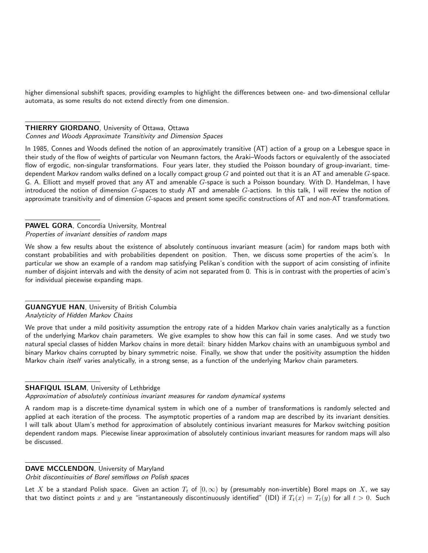higher dimensional subshift spaces, providing examples to highlight the differences between one- and two-dimensional cellular automata, as some results do not extend directly from one dimension.

## **THIERRY GIORDANO, University of Ottawa, Ottawa**

#### Connes and Woods Approximate Transitivity and Dimension Spaces

In 1985, Connes and Woods defined the notion of an approximately transitive (AT) action of a group on a Lebesgue space in their study of the flow of weights of particular von Neumann factors, the Araki–Woods factors or equivalently of the associated flow of ergodic, non-singular transformations. Four years later, they studied the Poisson boundary of group-invariant, timedependent Markov random walks defined on a locally compact group  $G$  and pointed out that it is an AT and amenable  $G$ -space. G. A. Elliott and myself proved that any AT and amenable G-space is such a Poisson boundary. With D. Handelman, I have introduced the notion of dimension  $G$ -spaces to study AT and amenable  $G$ -actions. In this talk, I will review the notion of approximate transitivity and of dimension  $G$ -spaces and present some specific constructions of AT and non-AT transformations.

## PAWEL GORA, Concordia University, Montreal Properties of invariant densities of random maps

We show a few results about the existence of absolutely continuous invariant measure (acim) for random maps both with constant probabilities and with probabilities dependent on position. Then, we discuss some properties of the acim's. In particular we show an example of a random map satisfying Pelikan's condition with the support of acim consisting of infinite number of disjoint intervals and with the density of acim not separated from 0. This is in contrast with the properties of acim's for individual piecewise expanding maps.

#### GUANGYUE HAN, University of British Columbia Analyticity of Hidden Markov Chains

We prove that under a mild positivity assumption the entropy rate of a hidden Markov chain varies analytically as a function of the underlying Markov chain parameters. We give examples to show how this can fail in some cases. And we study two natural special classes of hidden Markov chains in more detail: binary hidden Markov chains with an unambiguous symbol and binary Markov chains corrupted by binary symmetric noise. Finally, we show that under the positivity assumption the hidden Markov chain *itself* varies analytically, in a strong sense, as a function of the underlying Markov chain parameters.

# SHAFIQUL ISLAM, University of Lethbridge

Approximation of absolutely continious invariant measures for random dynamical systems

A random map is a discrete-time dynamical system in which one of a number of transformations is randomly selected and applied at each iteration of the process. The asymptotic properties of a random map are described by its invariant densities. I will talk about Ulam's method for approximation of absolutely continious invariant measures for Markov switching position dependent random maps. Piecewise linear approximation of absolutely continious invariant measures for random maps will also be discussed.

### DAVE MCCLENDON, University of Maryland

Orbit discontinuities of Borel semiflows on Polish spaces

Let X be a standard Polish space. Given an action  $T_t$  of  $[0,\infty)$  by (presumably non-invertible) Borel maps on X, we say that two distinct points x and y are "instantaneously discontinuously identified" (IDI) if  $T_t(x) = T_t(y)$  for all  $t > 0$ . Such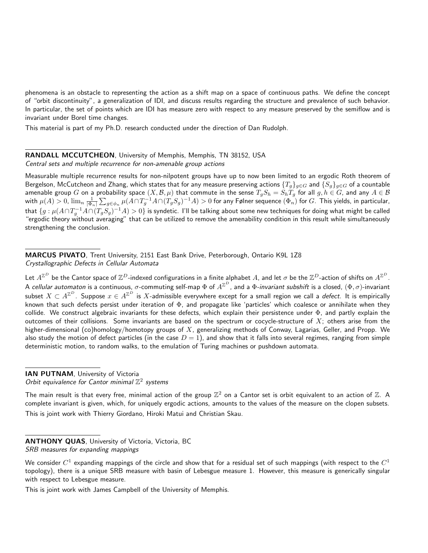phenomena is an obstacle to representing the action as a shift map on a space of continuous paths. We define the concept of "orbit discontinuity", a generalization of IDI, and discuss results regarding the structure and prevalence of such behavior. In particular, the set of points which are IDI has measure zero with respect to any measure preserved by the semiflow and is invariant under Borel time changes.

This material is part of my Ph.D. research conducted under the direction of Dan Rudolph.

#### RANDALL MCCUTCHEON, University of Memphis, Memphis, TN 38152, USA Central sets and multiple recurrence for non-amenable group actions

Measurable multiple recurrence results for non-nilpotent groups have up to now been limited to an ergodic Roth theorem of Bergelson, McCutcheon and Zhang, which states that for any measure preserving actions  $\{T_g\}_{g\in G}$  and  $\{S_g\}_{g\in G}$  of a countable amenable group  $G$  on a probability space  $(X,\mathcal{B},\mu)$  that commute in the sense  $T_gS_h=S_hT_g$  for all  $g,h\in G$ , and any  $A\in\mathcal{B}$ with  $\mu(A)>0$ ,  $\lim_{n}\frac{1}{|\Phi_n|}\sum_{g\in\phi_n}\mu(A\cap T_g^{-1}A\cap (T_gS_g)^{-1}A)>0$  for any Følner sequence  $(\Phi_n)$  for  $G$ . This yields, in particular, that  $\{g:\mu(A\cap T_g^{-1}A\cap (T_gS_g)^{-1}A)>0\}$  is syndetic. I'll be talking about some new techniques for doing what might be called "ergodic theory without averaging" that can be utilized to remove the amenability condition in this result while simultaneously strengthening the conclusion.

MARCUS PIVATO, Trent University, 2151 East Bank Drive, Peterborough, Ontario K9L 1Z8 Crystallographic Defects in Cellular Automata

Let  $A^{\Z^D}$  be the Cantor space of  $\Z^D$ -indexed configurations in a finite alphabet  $A$ , and let  $\sigma$  be the  $\Z^D$ -action of shifts on  $A^{\Z^D}$ . A *cellular automaton* is a continuous,  $\sigma$ -commuting self-map  $\Phi$  of  $A^{\mathbb{Z}^D}$ , and a  $\Phi$ -*invariant subshift* is a closed,  $(\Phi,\sigma)$ -invariant subset  $X\subset A^{\mathbb{Z}^D}$ . Suppose  $x\in A^{\mathbb{Z}^D}$  is  $X$ -admissible everywhere except for a small region we call a *defect*. It is empirically known that such defects persist under iteration of Φ, and propagate like 'particles' which coalesce or annihilate when they collide. We construct algebraic invariants for these defects, which explain their persistence under  $\Phi$ , and partly explain the outcomes of their collisions. Some invariants are based on the spectrum or cocycle-structure of  $X$ ; others arise from the higher-dimensional (co)homology/homotopy groups of  $X$ , generalizing methods of Conway, Lagarias, Geller, and Propp. We also study the motion of defect particles (in the case  $D = 1$ ), and show that it falls into several regimes, ranging from simple deterministic motion, to random walks, to the emulation of Turing machines or pushdown automata.

IAN PUTNAM, University of Victoria Orbit equivalence for Cantor minimal  $\mathbb{Z}^2$  systems

The main result is that every free, minimal action of the group  $\mathbb{Z}^2$  on a Cantor set is orbit equivalent to an action of  $\mathbb{Z}$ . A complete invariant is given, which, for uniquely ergodic actions, amounts to the values of the measure on the clopen subsets. This is joint work with Thierry Giordano, Hiroki Matui and Christian Skau.

ANTHONY QUAS, University of Victoria, Victoria, BC SRB measures for expanding mappings

This is joint work with James Campbell of the University of Memphis.

We consider  $C^1$  expanding mappings of the circle and show that for a residual set of such mappings (with respect to the  $C^1$ topology), there is a unique SRB measure with basin of Lebesgue measure 1. However, this measure is generically singular with respect to Lebesgue measure.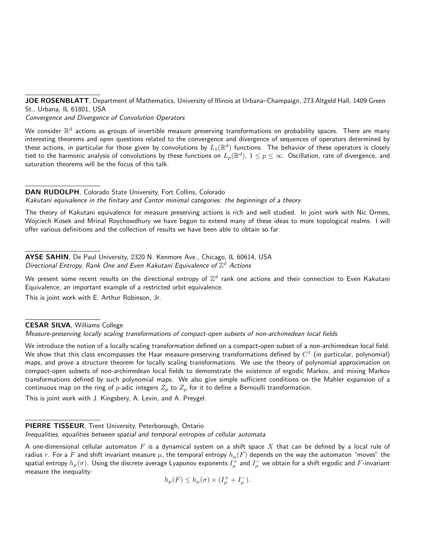JOE ROSENBLATT, Department of Mathematics, University of Illinois at Urbana–Champaign, 273 Altgeld Hall, 1409 Green St., Urbana, IL 61801, USA

Convergence and Divergence of Convolution Operators

We consider  $\R^d$  actions as groups of invertible measure preserving transformations on probability spaces. There are many interesting theorems and open questions related to the convergence and divergence of sequences of operators determined by these actions, in particular for those given by convolutions by  $L_1(\R^d)$  functions. The behavior of these operators is closely tied to the harmonic analysis of convolutions by these functions on  $L_p(\R^d)$ ,  $1\le p\le\infty$ . Oscillation, rate of divergence, and saturation theorems will be the focus of this talk.

# DAN RUDOLPH, Colorado State University, Fort Collins, Colorado

Kakutani equivalence in the finitary and Cantor minimal categories: the beginnings of a theory

The theory of Kakutani equivalence for measure preserving actions is rich and well studied. In joint work with Nic Ormes, Wojciech Kosek and Mrinal Roychowdhury we have begun to extend many of these ideas to more topological realms. I will offer various definitions and the collection of results we have been able to obtain so far.

AYSE SAHIN, De Paul University, 2320 N. Kenmore Ave., Chicago, IL 60614, USA Directional Entropy, Rank One and Even Kakutani Equivalence of  $\mathbb{Z}^d$  Actions

We present some recent results on the directional entropy of  $\mathbb{Z}^d$  rank one actions and their connection to Even Kakutani Equivalence, an important example of a restricted orbit equivalence.

This is joint work with E. Arthur Robinson, Jr.

## CESAR SILVA, Williams College

Measure-preserving locally scaling transformations of compact-open subsets of non-archimedean local fields

We introduce the notion of a locally scaling transformation defined on a compact-open subset of a non-archimedean local field. We show that this class encompasses the Haar measure-preserving transformations defined by  $C^1$  (in particular, polynomial) maps, and prove a structure theorem for locally scaling transformations. We use the theory of polynomial approximation on compact-open subsets of non-archimedean local fields to demonstrate the existence of ergodic Markov, and mixing Markov transformations defined by such polynomial maps. We also give simple sufficient conditions on the Mahler expansion of a continuous map on the ring of *p*-adic integers  $Z_p$  to  $Z_p$  for it to define a Bernoulli transformation.

This is joint work with J. Kingsbery, A. Levin, and A. Preygel.

# PIERRE TISSEUR, Trent University, Peterborough, Ontario

Inequalities, equalities between spatial and temporal entropies of cellular automata

A one-dimensional cellular automaton  $F$  is a dynamical system on a shift space  $X$  that can be defined by a local rule of radius  $r$ . For a  $F$  and shift invariant measure  $\mu$ , the temporal entropy  $h_\mu(F)$  depends on the way the automaton "moves" the spatial entropy  $h_\mu(\sigma).$  Using the discrete average Lyapunov exponents  $I_\mu^+$  and  $I_\mu^-$  we obtain for a shift ergodic and  $F$ -invariant measure the inequality:

 $h_{\mu}(F) \le h_{\mu}(\sigma) \times (I_{\mu}^{+} + I_{\mu}^{-}).$